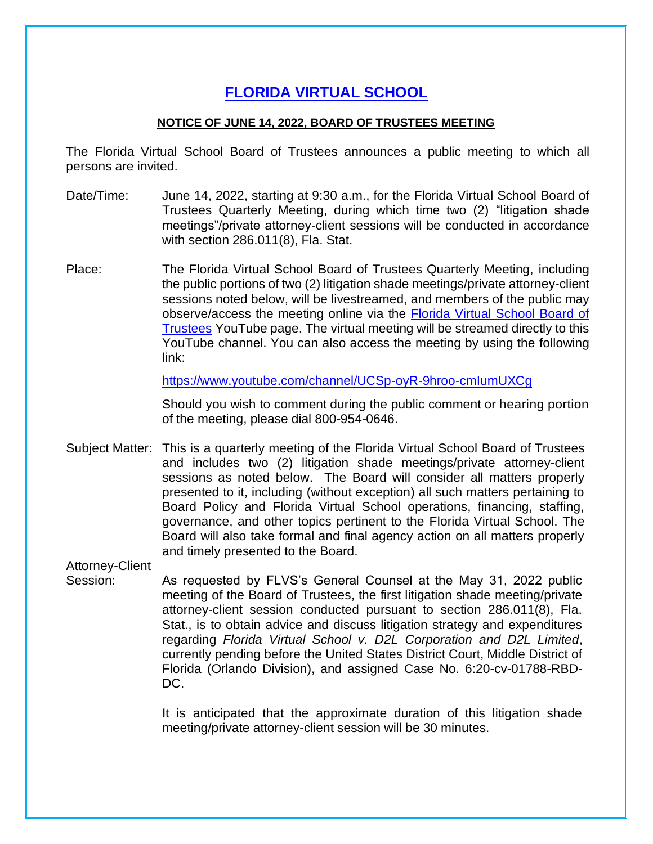## **[FLORIDA](https://www.flrules.org/gateway/organization.asp?id=1357) VIRTUAL SCHOOL**

## **NOTICE OF JUNE 14, 2022, BOARD OF TRUSTEES MEETING**

The Florida Virtual School Board of Trustees announces a public meeting to which all persons are invited.

- Date/Time: June 14, 2022, starting at 9:30 a.m., for the Florida Virtual School Board of Trustees Quarterly Meeting, during which time two (2) "litigation shade meetings"/private attorney-client sessions will be conducted in accordance with section 286.011(8), Fla. Stat.
- Place: The Florida Virtual School Board of Trustees Quarterly Meeting, including the public portions of two (2) litigation shade meetings/private attorney-client sessions noted below, will be livestreamed, and members of the public may observe/access the meeting online via the [Florida Virtual School Board of](https://www.youtube.com/channel/UCSp-oyR-9hroo-cmIumUXCg)  [Trustees](https://www.youtube.com/channel/UCSp-oyR-9hroo-cmIumUXCg) YouTube page. The virtual meeting will be streamed directly to this YouTube channel. You can also access the meeting by using the following link:

<https://www.youtube.com/channel/UCSp-oyR-9hroo-cmIumUXCg>

Should you wish to comment during the public comment or hearing portion of the meeting, please dial 800-954-0646.

Subject Matter: This is a quarterly meeting of the Florida Virtual School Board of Trustees and includes two (2) litigation shade meetings/private attorney-client sessions as noted below. The Board will consider all matters properly presented to it, including (without exception) all such matters pertaining to Board Policy and Florida Virtual School operations, financing, staffing, governance, and other topics pertinent to the Florida Virtual School. The Board will also take formal and final agency action on all matters properly and timely presented to the Board.

Attorney-Client

Session: As requested by FLVS's General Counsel at the May 31, 2022 public meeting of the Board of Trustees, the first litigation shade meeting/private attorney-client session conducted pursuant to section 286.011(8), Fla. Stat., is to obtain advice and discuss litigation strategy and expenditures regarding *Florida Virtual School v. D2L Corporation and D2L Limited*, currently pending before the United States District Court, Middle District of Florida (Orlando Division), and assigned Case No. 6:20-cv-01788-RBD-DC.

> It is anticipated that the approximate duration of this litigation shade meeting/private attorney-client session will be 30 minutes.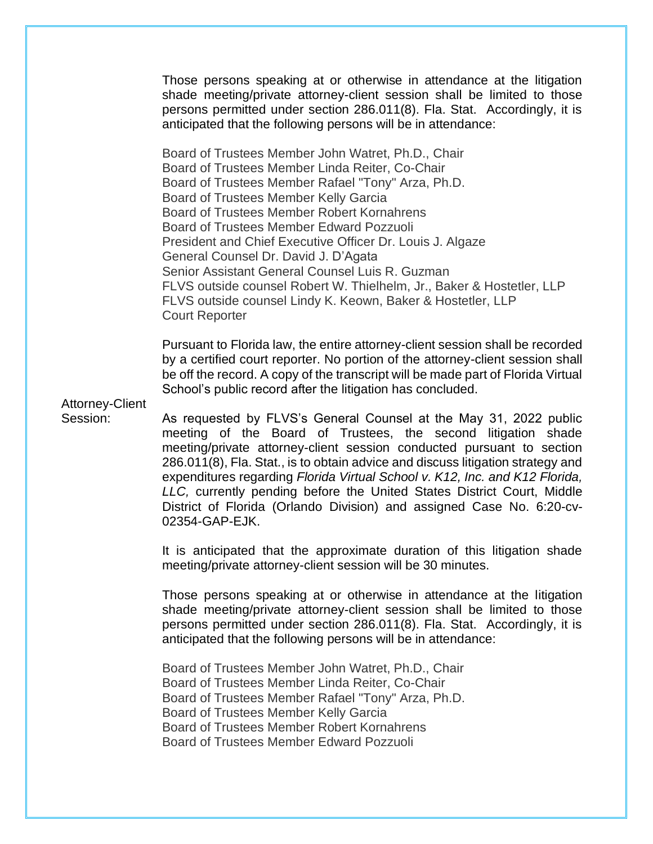Those persons speaking at or otherwise in attendance at the litigation shade meeting/private attorney-client session shall be limited to those persons permitted under section 286.011(8). Fla. Stat. Accordingly, it is anticipated that the following persons will be in attendance:

Board of Trustees Member John Watret, Ph.D., Chair Board of Trustees Member Linda Reiter, Co-Chair Board of Trustees Member Rafael "Tony" Arza, Ph.D. Board of Trustees Member Kelly Garcia Board of Trustees Member Robert Kornahrens Board of Trustees Member Edward Pozzuoli President and Chief Executive Officer Dr. Louis J. Algaze General Counsel Dr. David J. D'Agata Senior Assistant General Counsel Luis R. Guzman FLVS outside counsel Robert W. Thielhelm, Jr., Baker & Hostetler, LLP FLVS outside counsel Lindy K. Keown, Baker & Hostetler, LLP Court Reporter

Pursuant to Florida law, the entire attorney-client session shall be recorded by a certified court reporter. No portion of the attorney-client session shall be off the record. A copy of the transcript will be made part of Florida Virtual School's public record after the litigation has concluded.

Attorney-Client

Session: As requested by FLVS's General Counsel at the May 31, 2022 public meeting of the Board of Trustees, the second litigation shade meeting/private attorney-client session conducted pursuant to section 286.011(8), Fla. Stat., is to obtain advice and discuss litigation strategy and expenditures regarding *Florida Virtual School v. K12, Inc. and K12 Florida, LLC,* currently pending before the United States District Court, Middle District of Florida (Orlando Division) and assigned Case No. 6:20-cv-02354-GAP-EJK.

> It is anticipated that the approximate duration of this litigation shade meeting/private attorney-client session will be 30 minutes.

> Those persons speaking at or otherwise in attendance at the litigation shade meeting/private attorney-client session shall be limited to those persons permitted under section 286.011(8). Fla. Stat. Accordingly, it is anticipated that the following persons will be in attendance:

Board of Trustees Member John Watret, Ph.D., Chair Board of Trustees Member Linda Reiter, Co-Chair Board of Trustees Member Rafael "Tony" Arza, Ph.D. Board of Trustees Member Kelly Garcia Board of Trustees Member Robert Kornahrens Board of Trustees Member Edward Pozzuoli